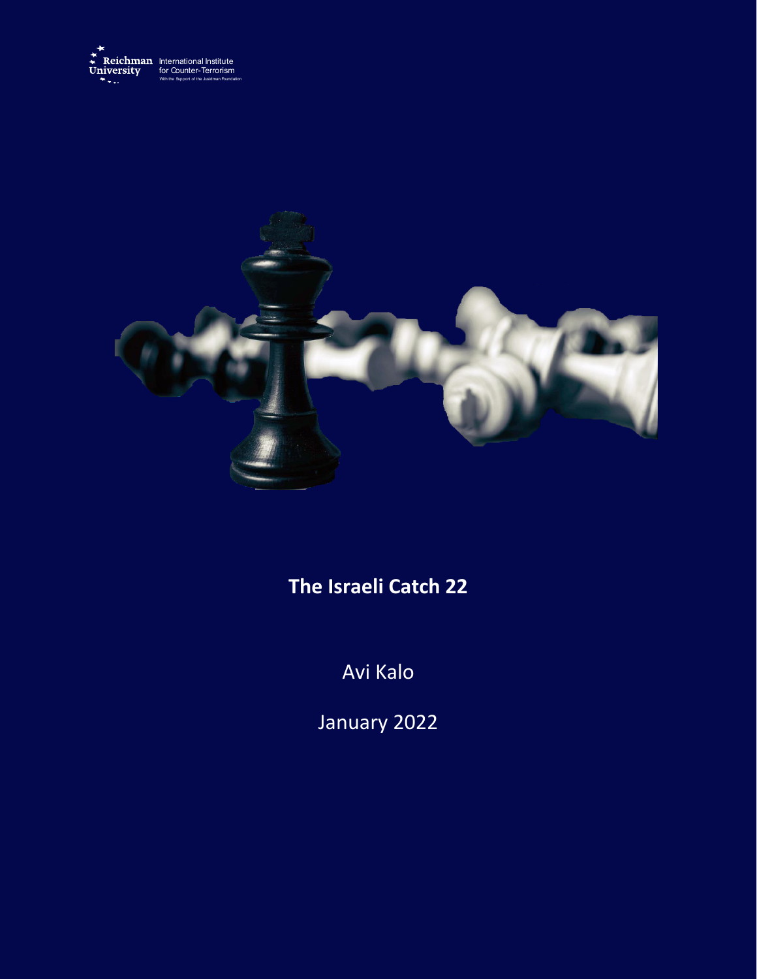



## **The Israeli Catch 22**

Avi Kalo

January 2022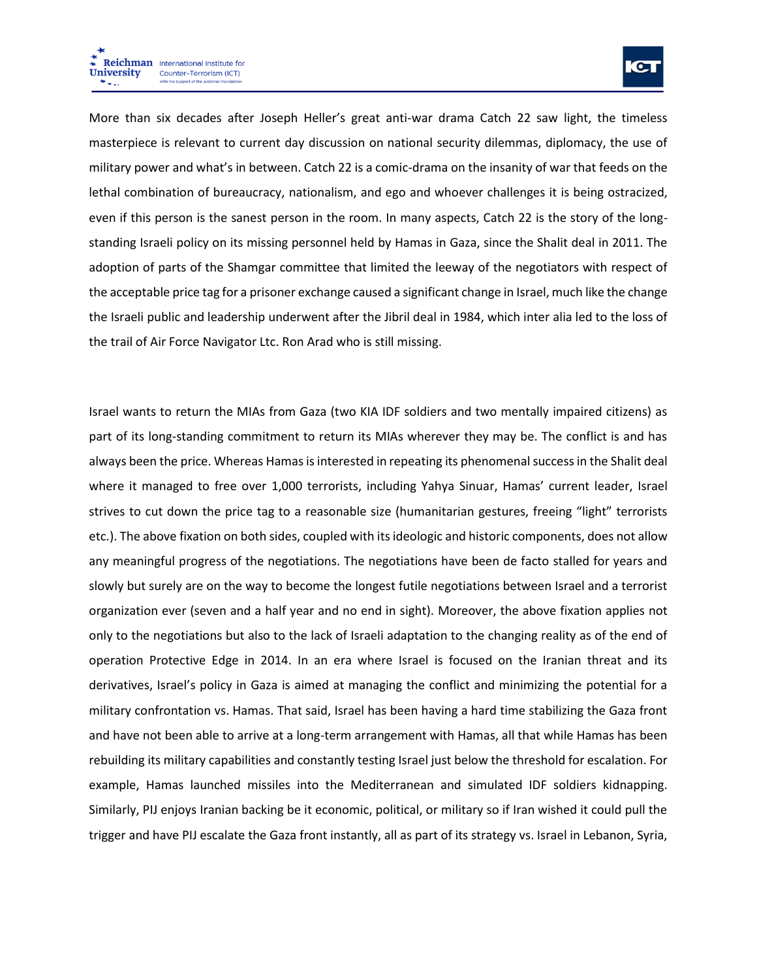

More than six decades after Joseph Heller's great anti-war drama Catch 22 saw light, the timeless masterpiece is relevant to current day discussion on national security dilemmas, diplomacy, the use of military power and what's in between. Catch 22 is a comic-drama on the insanity of war that feeds on the lethal combination of bureaucracy, nationalism, and ego and whoever challenges it is being ostracized, even if this person is the sanest person in the room. In many aspects, Catch 22 is the story of the longstanding Israeli policy on its missing personnel held by Hamas in Gaza, since the Shalit deal in 2011. The adoption of parts of the Shamgar committee that limited the leeway of the negotiators with respect of the acceptable price tag for a prisoner exchange caused a significant change in Israel, much like the change the Israeli public and leadership underwent after the Jibril deal in 1984, which inter alia led to the loss of the trail of Air Force Navigator Ltc. Ron Arad who is still missing.

Israel wants to return the MIAs from Gaza (two KIA IDF soldiers and two mentally impaired citizens) as part of its long-standing commitment to return its MIAs wherever they may be. The conflict is and has always been the price. Whereas Hamas is interested in repeating its phenomenal success in the Shalit deal where it managed to free over 1,000 terrorists, including Yahya Sinuar, Hamas' current leader, Israel strives to cut down the price tag to a reasonable size (humanitarian gestures, freeing "light" terrorists etc.). The above fixation on both sides, coupled with its ideologic and historic components, does not allow any meaningful progress of the negotiations. The negotiations have been de facto stalled for years and slowly but surely are on the way to become the longest futile negotiations between Israel and a terrorist organization ever (seven and a half year and no end in sight). Moreover, the above fixation applies not only to the negotiations but also to the lack of Israeli adaptation to the changing reality as of the end of operation Protective Edge in 2014. In an era where Israel is focused on the Iranian threat and its derivatives, Israel's policy in Gaza is aimed at managing the conflict and minimizing the potential for a military confrontation vs. Hamas. That said, Israel has been having a hard time stabilizing the Gaza front and have not been able to arrive at a long-term arrangement with Hamas, all that while Hamas has been rebuilding its military capabilities and constantly testing Israel just below the threshold for escalation. For example, Hamas launched missiles into the Mediterranean and simulated IDF soldiers kidnapping. Similarly, PIJ enjoys Iranian backing be it economic, political, or military so if Iran wished it could pull the trigger and have PIJ escalate the Gaza front instantly, all as part of its strategy vs. Israel in Lebanon, Syria,